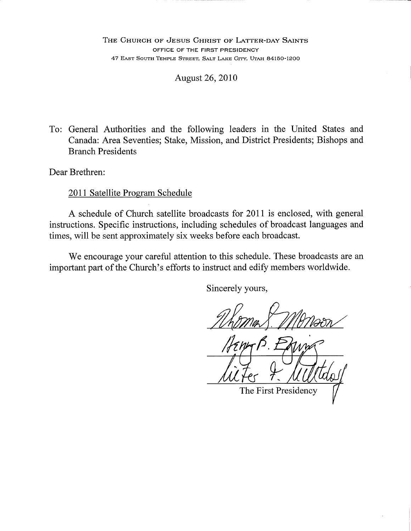August 26, 2010

To: General Authorities and the following leaders in the United States and Canada: Area Seventies; Stake, Mission, and District Presidents; Bishops and **Branch Presidents** 

Dear Brethren:

2011 Satellite Program Schedule

A schedule of Church satellite broadcasts for 2011 is enclosed, with general instructions. Specific instructions, including schedules of broadcast languages and times, will be sent approximately six weeks before each broadcast.

We encourage your careful attention to this schedule. These broadcasts are an important part of the Church's efforts to instruct and edify members worldwide.

Sincerely yours,

The First Presidency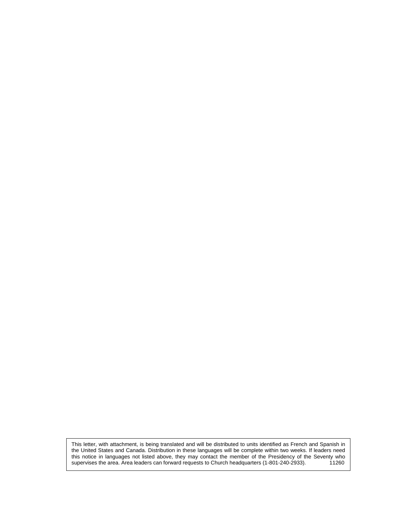This letter, with attachment, is being translated and will be distributed to units identified as French and Spanish in the United States and Canada. Distribution in these languages will be complete within two weeks. If leaders need this notice in languages not listed above, they may contact the member of the Presidency of the Seventy who supervises the area. Area leaders can forward requests to Church headquarters (1-801-240-2933). 11260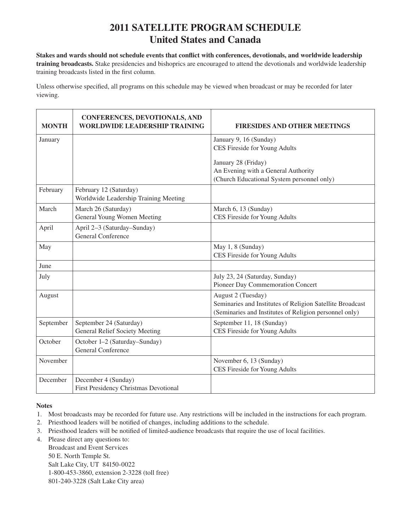## **2011 Satellite Program Schedule United States and Canada**

**Stakes and wards should not schedule events that conflict with conferences, devotionals, and worldwide leadership training broadcasts.** Stake presidencies and bishoprics are encouraged to attend the devotionals and worldwide leadership training broadcasts listed in the first column.

Unless otherwise specified, all programs on this schedule may be viewed when broadcast or may be recorded for later viewing.

| <b>MONTH</b> | CONFERENCES, DEVOTIONALS, AND<br><b>WORLDWIDE LEADERSHIP TRAINING</b> | <b>FIRESIDES AND OTHER MEETINGS</b>                                                                                                       |
|--------------|-----------------------------------------------------------------------|-------------------------------------------------------------------------------------------------------------------------------------------|
| January      |                                                                       | January 9, 16 (Sunday)<br>CES Fireside for Young Adults                                                                                   |
|              |                                                                       | January 28 (Friday)<br>An Evening with a General Authority<br>(Church Educational System personnel only)                                  |
| February     | February 12 (Saturday)<br>Worldwide Leadership Training Meeting       |                                                                                                                                           |
| March        | March 26 (Saturday)<br>General Young Women Meeting                    | March 6, 13 (Sunday)<br>CES Fireside for Young Adults                                                                                     |
| April        | April 2-3 (Saturday-Sunday)<br><b>General Conference</b>              |                                                                                                                                           |
| May          |                                                                       | May 1, 8 (Sunday)<br>CES Fireside for Young Adults                                                                                        |
| June         |                                                                       |                                                                                                                                           |
| July         |                                                                       | July 23, 24 (Saturday, Sunday)<br>Pioneer Day Commemoration Concert                                                                       |
| August       |                                                                       | August 2 (Tuesday)<br>Seminaries and Institutes of Religion Satellite Broadcast<br>(Seminaries and Institutes of Religion personnel only) |
| September    | September 24 (Saturday)<br><b>General Relief Society Meeting</b>      | September 11, 18 (Sunday)<br>CES Fireside for Young Adults                                                                                |
| October      | October 1-2 (Saturday-Sunday)<br>General Conference                   |                                                                                                                                           |
| November     |                                                                       | November 6, 13 (Sunday)<br>CES Fireside for Young Adults                                                                                  |
| December     | December 4 (Sunday)<br>First Presidency Christmas Devotional          |                                                                                                                                           |

#### **Notes**

- 1. Most broadcasts may be recorded for future use. Any restrictions will be included in the instructions for each program.
- 2. Priesthood leaders will be notified of changes, including additions to the schedule.
- 3. Priesthood leaders will be notified of limited-audience broadcasts that require the use of local facilities.
- 4. Please direct any questions to:

Broadcast and Event Services 50 E. North Temple St. Salt Lake City, UT 84150-0022 1-800-453-3860, extension 2-3228 (toll free) 801-240-3228 (Salt Lake City area)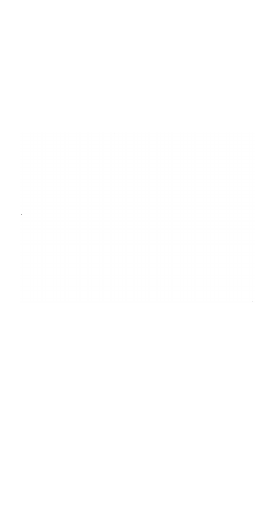$\mathcal{L}(\mathcal{L})$  and  $\mathcal{L}(\mathcal{L})$  $\sim 10^{-1}$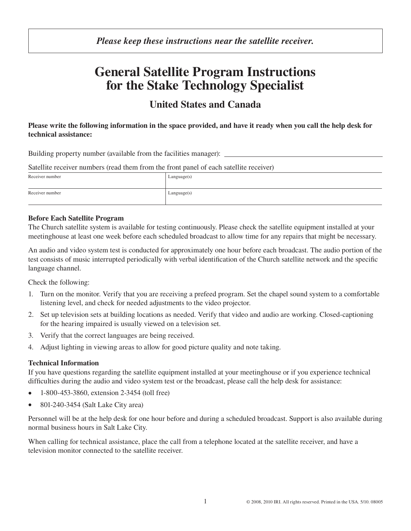# **General Satellite Program Instructions for the Stake Technology Specialist**

## **United States and Canada**

#### **Please write the following information in the space provided, and have it ready when you call the help desk for technical assistance:**

Building property number (available from the facilities manager):

| Satellite receiver numbers (read them from the front panel of each satellite receiver) |  |  |  |
|----------------------------------------------------------------------------------------|--|--|--|
|----------------------------------------------------------------------------------------|--|--|--|

| Receiver number | Language(s) |
|-----------------|-------------|
|                 |             |
| Receiver number | Language(s) |
|                 |             |

#### **Before Each Satellite Program**

The Church satellite system is available for testing continuously. Please check the satellite equipment installed at your meetinghouse at least one week before each scheduled broadcast to allow time for any repairs that might be necessary.

An audio and video system test is conducted for approximately one hour before each broadcast. The audio portion of the test consists of music interrupted periodically with verbal identification of the Church satellite network and the specific language channel.

Check the following:

- 1. Turn on the monitor. Verify that you are receiving a prefeed program. Set the chapel sound system to a comfortable listening level, and check for needed adjustments to the video projector.
- 2. Set up television sets at building locations as needed. Verify that video and audio are working. Closed-captioning for the hearing impaired is usually viewed on a television set.
- 3. Verify that the correct languages are being received.
- 4. Adjust lighting in viewing areas to allow for good picture quality and note taking.

#### **Technical Information**

If you have questions regarding the satellite equipment installed at your meetinghouse or if you experience technical difficulties during the audio and video system test or the broadcast, please call the help desk for assistance:

- 1-800-453-3860, extension 2-3454 (toll free)
- 801-240-3454 (Salt Lake City area)

Personnel will be at the help desk for one hour before and during a scheduled broadcast. Support is also available during normal business hours in Salt Lake City.

When calling for technical assistance, place the call from a telephone located at the satellite receiver, and have a television monitor connected to the satellite receiver.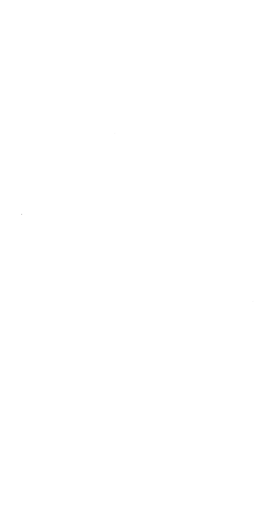$\mathcal{L}(\mathcal{L})$  and  $\mathcal{L}(\mathcal{L})$  $\sim 10^{-1}$